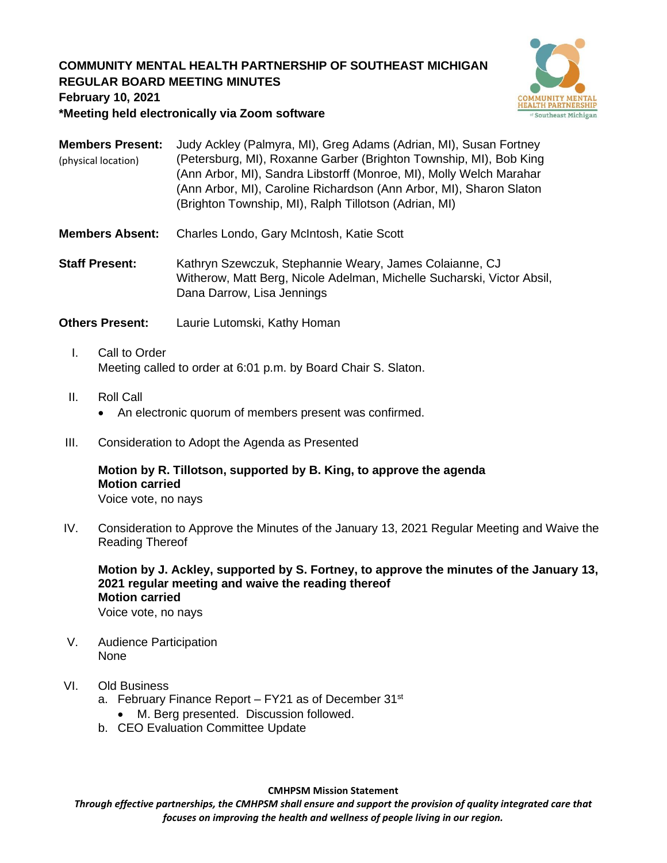## **COMMUNITY MENTAL HEALTH PARTNERSHIP OF SOUTHEAST MICHIGAN REGULAR BOARD MEETING MINUTES**



#### **February 10, 2021**

**\*Meeting held electronically via Zoom software**

**Members Present:** Judy Ackley (Palmyra, MI), Greg Adams (Adrian, MI), Susan Fortney (Petersburg, MI), Roxanne Garber (Brighton Township, MI), Bob King (Ann Arbor, MI), Sandra Libstorff (Monroe, MI), Molly Welch Marahar (Ann Arbor, MI), Caroline Richardson (Ann Arbor, MI), Sharon Slaton (Brighton Township, MI), Ralph Tillotson (Adrian, MI) (physical location)

- **Members Absent:** Charles Londo, Gary McIntosh, Katie Scott
- **Staff Present:** Kathryn Szewczuk, Stephannie Weary, James Colaianne, CJ Witherow, Matt Berg, Nicole Adelman, Michelle Sucharski, Victor Absil, Dana Darrow, Lisa Jennings

**Others Present:** Laurie Lutomski, Kathy Homan

- I. Call to Order Meeting called to order at 6:01 p.m. by Board Chair S. Slaton.
- II. Roll Call
	- An electronic quorum of members present was confirmed.
- III. Consideration to Adopt the Agenda as Presented

# **Motion by R. Tillotson, supported by B. King, to approve the agenda Motion carried**

Voice vote, no nays

IV. Consideration to Approve the Minutes of the January 13, 2021 Regular Meeting and Waive the Reading Thereof

**Motion by J. Ackley, supported by S. Fortney, to approve the minutes of the January 13, 2021 regular meeting and waive the reading thereof Motion carried** Voice vote, no nays

- V. Audience Participation
	- None

## VI. Old Business

- a. February Finance Report  $-$  FY21 as of December 31st
	- M. Berg presented. Discussion followed.
- b. CEO Evaluation Committee Update

**CMHPSM Mission Statement**

*Through effective partnerships, the CMHPSM shall ensure and support the provision of quality integrated care that focuses on improving the health and wellness of people living in our region.*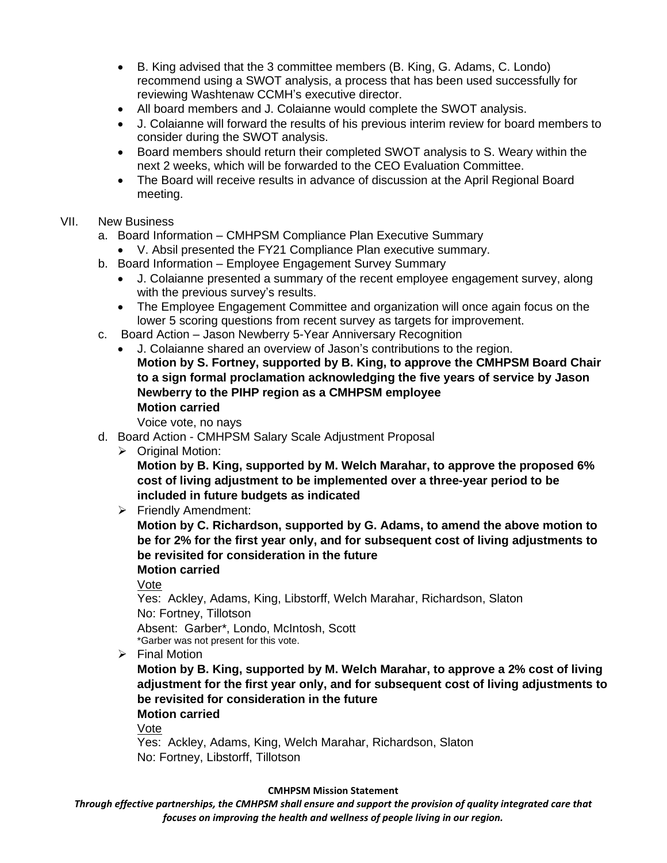- B. King advised that the 3 committee members (B. King, G. Adams, C. Londo) recommend using a SWOT analysis, a process that has been used successfully for reviewing Washtenaw CCMH's executive director.
- All board members and J. Colaianne would complete the SWOT analysis.
- J. Colaianne will forward the results of his previous interim review for board members to consider during the SWOT analysis.
- Board members should return their completed SWOT analysis to S. Weary within the next 2 weeks, which will be forwarded to the CEO Evaluation Committee.
- The Board will receive results in advance of discussion at the April Regional Board meeting.

## VII. New Business

- a. Board Information CMHPSM Compliance Plan Executive Summary
	- V. Absil presented the FY21 Compliance Plan executive summary.
- b. Board Information Employee Engagement Survey Summary
	- J. Colaianne presented a summary of the recent employee engagement survey, along with the previous survey's results.
	- The Employee Engagement Committee and organization will once again focus on the lower 5 scoring questions from recent survey as targets for improvement.
- c. Board Action Jason Newberry 5-Year Anniversary Recognition
	- J. Colaianne shared an overview of Jason's contributions to the region. **Motion by S. Fortney, supported by B. King, to approve the CMHPSM Board Chair to a sign formal proclamation acknowledging the five years of service by Jason Newberry to the PIHP region as a CMHPSM employee Motion carried**

Voice vote, no nays

- d. Board Action CMHPSM Salary Scale Adjustment Proposal
	- ➢ Original Motion:

**Motion by B. King, supported by M. Welch Marahar, to approve the proposed 6% cost of living adjustment to be implemented over a three-year period to be included in future budgets as indicated**

➢ Friendly Amendment:

**Motion by C. Richardson, supported by G. Adams, to amend the above motion to be for 2% for the first year only, and for subsequent cost of living adjustments to be revisited for consideration in the future**

**Motion carried**

Vote

Yes: Ackley, Adams, King, Libstorff, Welch Marahar, Richardson, Slaton No: Fortney, Tillotson Absent: Garber\*, Londo, McIntosh, Scott \*Garber was not present for this vote.

➢ Final Motion

**Motion by B. King, supported by M. Welch Marahar, to approve a 2% cost of living adjustment for the first year only, and for subsequent cost of living adjustments to be revisited for consideration in the future**

#### **Motion carried**

Vote

Yes: Ackley, Adams, King, Welch Marahar, Richardson, Slaton No: Fortney, Libstorff, Tillotson

#### **CMHPSM Mission Statement**

*Through effective partnerships, the CMHPSM shall ensure and support the provision of quality integrated care that focuses on improving the health and wellness of people living in our region.*